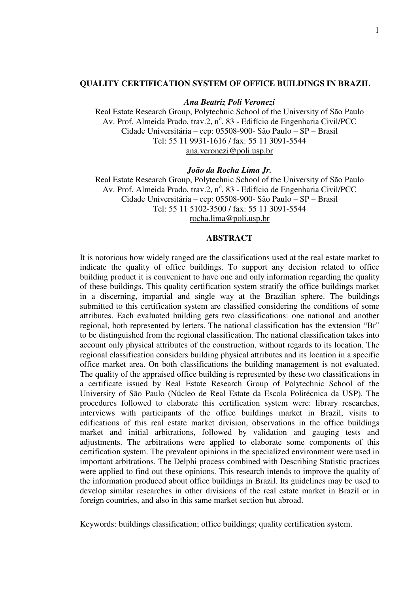#### **QUALITY CERTIFICATION SYSTEM OF OFFICE BUILDINGS IN BRAZIL**

#### *Ana Beatriz Poli Veronezi*

Real Estate Research Group, Polytechnic School of the University of São Paulo Av. Prof. Almeida Prado, trav.2, nº. 83 - Edifício de Engenharia Civil/PCC Cidade Universitária – cep: 05508-900- São Paulo – SP – Brasil Tel: 55 11 9931-1616 / fax: 55 11 3091-5544 ana.veronezi@poli.usp.br

#### *João da Rocha Lima Jr.*

Real Estate Research Group, Polytechnic School of the University of São Paulo Av. Prof. Almeida Prado, trav.2, nº. 83 - Edifício de Engenharia Civil/PCC Cidade Universitária – cep: 05508-900- São Paulo – SP – Brasil Tel: 55 11 5102-3500 / fax: 55 11 3091-5544 rocha.lima@poli.usp.br

#### **ABSTRACT**

It is notorious how widely ranged are the classifications used at the real estate market to indicate the quality of office buildings. To support any decision related to office building product it is convenient to have one and only information regarding the quality of these buildings. This quality certification system stratify the office buildings market in a discerning, impartial and single way at the Brazilian sphere. The buildings submitted to this certification system are classified considering the conditions of some attributes. Each evaluated building gets two classifications: one national and another regional, both represented by letters. The national classification has the extension "Br" to be distinguished from the regional classification. The national classification takes into account only physical attributes of the construction, without regards to its location. The regional classification considers building physical attributes and its location in a specific office market area. On both classifications the building management is not evaluated. The quality of the appraised office building is represented by these two classifications in a certificate issued by Real Estate Research Group of Polytechnic School of the University of São Paulo (Núcleo de Real Estate da Escola Politécnica da USP). The procedures followed to elaborate this certification system were: library researches, interviews with participants of the office buildings market in Brazil, visits to edifications of this real estate market division, observations in the office buildings market and initial arbitrations, followed by validation and gauging tests and adjustments. The arbitrations were applied to elaborate some components of this certification system. The prevalent opinions in the specialized environment were used in important arbitrations. The Delphi process combined with Describing Statistic practices were applied to find out these opinions. This research intends to improve the quality of the information produced about office buildings in Brazil. Its guidelines may be used to develop similar researches in other divisions of the real estate market in Brazil or in foreign countries, and also in this same market section but abroad.

Keywords: buildings classification; office buildings; quality certification system.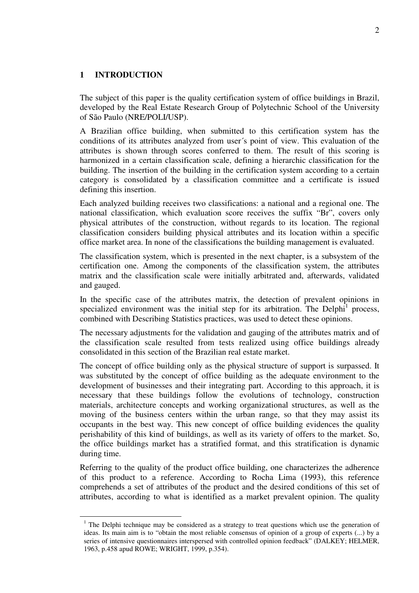### **1 INTRODUCTION**

The subject of this paper is the quality certification system of office buildings in Brazil, developed by the Real Estate Research Group of Polytechnic School of the University of São Paulo (NRE/POLI/USP).

A Brazilian office building, when submitted to this certification system has the conditions of its attributes analyzed from user´s point of view. This evaluation of the attributes is shown through scores conferred to them. The result of this scoring is harmonized in a certain classification scale, defining a hierarchic classification for the building. The insertion of the building in the certification system according to a certain category is consolidated by a classification committee and a certificate is issued defining this insertion.

Each analyzed building receives two classifications: a national and a regional one. The national classification, which evaluation score receives the suffix "Br", covers only physical attributes of the construction, without regards to its location. The regional classification considers building physical attributes and its location within a specific office market area. In none of the classifications the building management is evaluated.

The classification system, which is presented in the next chapter, is a subsystem of the certification one. Among the components of the classification system, the attributes matrix and the classification scale were initially arbitrated and, afterwards, validated and gauged.

In the specific case of the attributes matrix, the detection of prevalent opinions in specialized environment was the initial step for its arbitration. The Delphi<sup>1</sup> process, combined with Describing Statistics practices, was used to detect these opinions.

The necessary adjustments for the validation and gauging of the attributes matrix and of the classification scale resulted from tests realized using office buildings already consolidated in this section of the Brazilian real estate market.

The concept of office building only as the physical structure of support is surpassed. It was substituted by the concept of office building as the adequate environment to the development of businesses and their integrating part. According to this approach, it is necessary that these buildings follow the evolutions of technology, construction materials, architecture concepts and working organizational structures, as well as the moving of the business centers within the urban range, so that they may assist its occupants in the best way. This new concept of office building evidences the quality perishability of this kind of buildings, as well as its variety of offers to the market. So, the office buildings market has a stratified format, and this stratification is dynamic during time.

Referring to the quality of the product office building, one characterizes the adherence of this product to a reference. According to Rocha Lima (1993), this reference comprehends a set of attributes of the product and the desired conditions of this set of attributes, according to what is identified as a market prevalent opinion. The quality

<sup>&</sup>lt;sup>1</sup> The Delphi technique may be considered as a strategy to treat questions which use the generation of ideas. Its main aim is to "obtain the most reliable consensus of opinion of a group of experts (...) by a series of intensive questionnaires interspersed with controlled opinion feedback" (DALKEY; HELMER, 1963, p.458 apud ROWE; WRIGHT, 1999, p.354).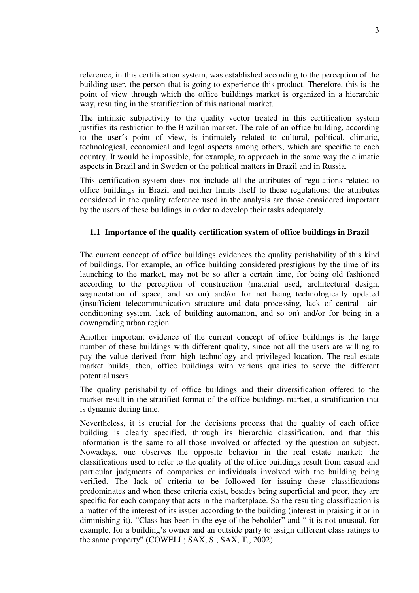reference, in this certification system, was established according to the perception of the building user, the person that is going to experience this product. Therefore, this is the point of view through which the office buildings market is organized in a hierarchic way, resulting in the stratification of this national market.

The intrinsic subjectivity to the quality vector treated in this certification system justifies its restriction to the Brazilian market. The role of an office building, according to the user´s point of view, is intimately related to cultural, political, climatic, technological, economical and legal aspects among others, which are specific to each country. It would be impossible, for example, to approach in the same way the climatic aspects in Brazil and in Sweden or the political matters in Brazil and in Russia.

This certification system does not include all the attributes of regulations related to office buildings in Brazil and neither limits itself to these regulations: the attributes considered in the quality reference used in the analysis are those considered important by the users of these buildings in order to develop their tasks adequately.

### **1.1 Importance of the quality certification system of office buildings in Brazil**

The current concept of office buildings evidences the quality perishability of this kind of buildings. For example, an office building considered prestigious by the time of its launching to the market, may not be so after a certain time, for being old fashioned according to the perception of construction (material used, architectural design, segmentation of space, and so on) and/or for not being technologically updated (insufficient telecommunication structure and data processing, lack of central airconditioning system, lack of building automation, and so on) and/or for being in a downgrading urban region.

Another important evidence of the current concept of office buildings is the large number of these buildings with different quality, since not all the users are willing to pay the value derived from high technology and privileged location. The real estate market builds, then, office buildings with various qualities to serve the different potential users.

The quality perishability of office buildings and their diversification offered to the market result in the stratified format of the office buildings market, a stratification that is dynamic during time.

Nevertheless, it is crucial for the decisions process that the quality of each office building is clearly specified, through its hierarchic classification, and that this information is the same to all those involved or affected by the question on subject. Nowadays, one observes the opposite behavior in the real estate market: the classifications used to refer to the quality of the office buildings result from casual and particular judgments of companies or individuals involved with the building being verified. The lack of criteria to be followed for issuing these classifications predominates and when these criteria exist, besides being superficial and poor, they are specific for each company that acts in the marketplace. So the resulting classification is a matter of the interest of its issuer according to the building (interest in praising it or in diminishing it). "Class has been in the eye of the beholder" and " it is not unusual, for example, for a building's owner and an outside party to assign different class ratings to the same property" (COWELL; SAX, S.; SAX, T., 2002).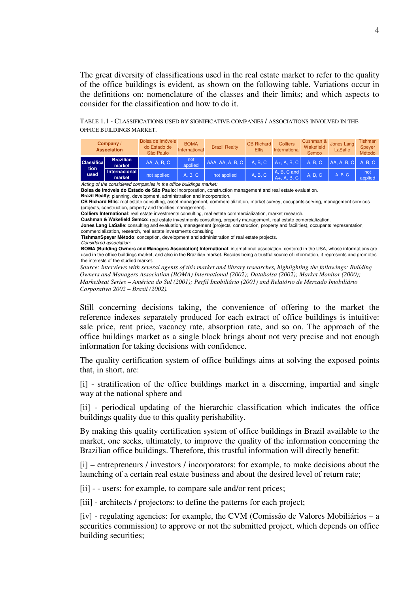The great diversity of classifications used in the real estate market to refer to the quality of the office buildings is evident, as shown on the following table. Variations occur in the definitions on: nomenclature of the classes and their limits; and which aspects to consider for the classification and how to do it.

TABLE 1.1 - CLASSIFICATIONS USED BY SIGNIFICATIVE COMPANIES / ASSOCIATIONS INVOLVED IN THE OFFICE BUILDINGS MARKET.

|                                    | Company /<br><b>Association</b> | Bolsa de Imóveis<br>do Estado de<br>São Paulo | <b>BOMA</b><br>International | <b>Brazil Realty</b> | <b>CB Richard</b><br><b>Ellis</b> | <b>Colliers</b><br>International | Cushman &<br>Wakefield<br>Semco | Jones Lang<br>LaSalle | Tishman<br>Speyer<br>Método |
|------------------------------------|---------------------------------|-----------------------------------------------|------------------------------|----------------------|-----------------------------------|----------------------------------|---------------------------------|-----------------------|-----------------------------|
| <b>Classifical</b><br>tion<br>used | <b>Brazilian</b><br>market      | AA, A, B, C                                   | not<br>applied               | AAA, AA, A, B, C     | A. B. C.                          | $A+$ , A, B, C                   | A. B. C                         | AA, A, B, C           | A. B. C                     |
|                                    | Internacional<br>market         | not applied                                   | A, B, C                      | not applied          | A, B, C                           | A, B, C, and<br>$A+$ , A, B, C   | A. B. C                         | A, B, C               | not<br>applied              |

*Acting of the considered companies in the office buildings market:*

**Bolsa de Imóveis do Estado de São Paulo**: incorporation, construction management and real estate evaluation.

**Brazil Realty**: planning, development, administration and incorporation. **CB Richard Ellis**: real estate consulting, asset management, commercialization, market survey, occupants serving, management services

(projects, construction, property and facilities management).

**Colliers International**: real estate investments consulting, real estate commercialization, market research.

**Cushman & Wakefield Semco:** real estate investments consulting, property management, real estate comercialization.

**Jones Lang LaSalle**: consulting and evaluation, management (projects, construction, property and facilities), occupants representation, commercialization, research, real estate investments consulting.

**TishmanSpeyer Método**: conception, development and administration of real estate projects.

*Considered association:*

**BOMA (Building Owners and Managers Association) International**: international association, centered in the USA, whose informations are used in the office buildings market, and also in the Brazilian market. Besides being a trustful source of information, it represents and promotes the interests of the studied market.

*Source: interviews with several agents of this market and library researches, highlighting the followings: Building Owners and Managers Association (BOMA) International (2002); Databolsa (2002); Market Monitor (2000); Marketbeat Series – América do Sul (2001); Perfil Imobiliário (2001) and Relatório de Mercado Imobiliário Corporativo 2002 – Brasil (2002).*

Still concerning decisions taking, the convenience of offering to the market the reference indexes separately produced for each extract of office buildings is intuitive: sale price, rent price, vacancy rate, absorption rate, and so on. The approach of the office buildings market as a single block brings about not very precise and not enough information for taking decisions with confidence.

The quality certification system of office buildings aims at solving the exposed points that, in short, are:

[i] - stratification of the office buildings market in a discerning, impartial and single way at the national sphere and

[ii] - periodical updating of the hierarchic classification which indicates the office buildings quality due to this quality perishability.

By making this quality certification system of office buildings in Brazil available to the market, one seeks, ultimately, to improve the quality of the information concerning the Brazilian office buildings. Therefore, this trustful information will directly benefit:

[i] – entrepreneurs / investors / incorporators: for example, to make decisions about the launching of a certain real estate business and about the desired level of return rate;

[ii] - - users: for example, to compare sale and/or rent prices;

[iii] - architects / projectors: to define the patterns for each project;

[iv] - regulating agencies: for example, the CVM (Comissão de Valores Mobiliários – a securities commission) to approve or not the submitted project, which depends on office building securities;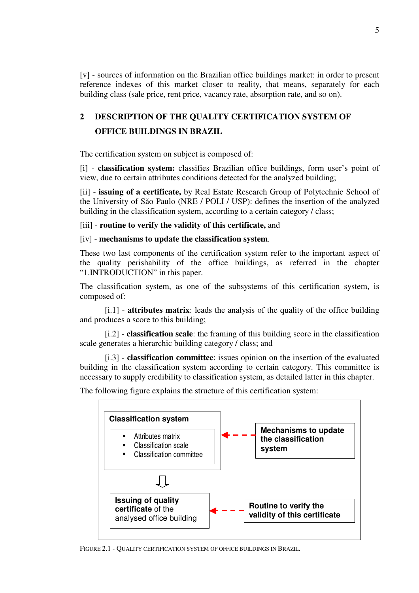[v] - sources of information on the Brazilian office buildings market: in order to present reference indexes of this market closer to reality, that means, separately for each building class (sale price, rent price, vacancy rate, absorption rate, and so on).

# **2 DESCRIPTION OF THE QUALITY CERTIFICATION SYSTEM OF OFFICE BUILDINGS IN BRAZIL**

The certification system on subject is composed of:

[i] - **classification system:** classifies Brazilian office buildings, form user's point of view, due to certain attributes conditions detected for the analyzed building;

[ii] - **issuing of a certificate,** by Real Estate Research Group of Polytechnic School of the University of São Paulo (NRE / POLI / USP): defines the insertion of the analyzed building in the classification system, according to a certain category / class;

[iii] - **routine to verify the validity of this certificate,** and

### [iv] - **mechanisms to update the classification system**.

These two last components of the certification system refer to the important aspect of the quality perishability of the office buildings, as referred in the chapter "1.INTRODUCTION" in this paper.

The classification system, as one of the subsystems of this certification system, is composed of:

[i.1] - **attributes matrix**: leads the analysis of the quality of the office building and produces a score to this building;

[i.2] - **classification scale**: the framing of this building score in the classification scale generates a hierarchic building category / class; and

[i.3] - **classification committee**: issues opinion on the insertion of the evaluated building in the classification system according to certain category. This committee is necessary to supply credibility to classification system, as detailed latter in this chapter.

The following figure explains the structure of this certification system:

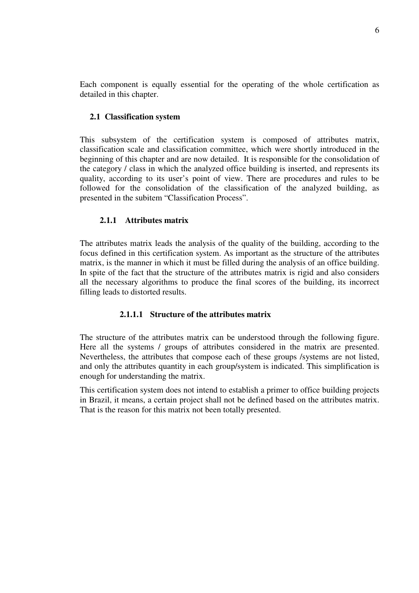Each component is equally essential for the operating of the whole certification as detailed in this chapter.

### **2.1 Classification system**

This subsystem of the certification system is composed of attributes matrix, classification scale and classification committee, which were shortly introduced in the beginning of this chapter and are now detailed. It is responsible for the consolidation of the category / class in which the analyzed office building is inserted, and represents its quality, according to its user's point of view. There are procedures and rules to be followed for the consolidation of the classification of the analyzed building, as presented in the subitem "Classification Process".

### **2.1.1 Attributes matrix**

The attributes matrix leads the analysis of the quality of the building, according to the focus defined in this certification system. As important as the structure of the attributes matrix, is the manner in which it must be filled during the analysis of an office building. In spite of the fact that the structure of the attributes matrix is rigid and also considers all the necessary algorithms to produce the final scores of the building, its incorrect filling leads to distorted results.

### **2.1.1.1 Structure of the attributes matrix**

The structure of the attributes matrix can be understood through the following figure. Here all the systems / groups of attributes considered in the matrix are presented. Nevertheless, the attributes that compose each of these groups /systems are not listed, and only the attributes quantity in each group/system is indicated. This simplification is enough for understanding the matrix.

This certification system does not intend to establish a primer to office building projects in Brazil, it means, a certain project shall not be defined based on the attributes matrix. That is the reason for this matrix not been totally presented.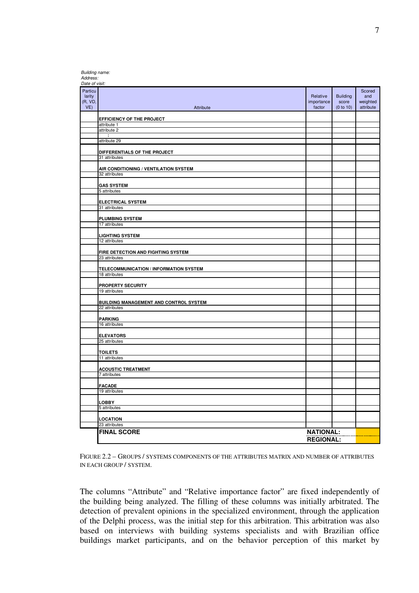| Address:<br>Date of visit:             |                                                     |                                  |                                       |                                        |
|----------------------------------------|-----------------------------------------------------|----------------------------------|---------------------------------------|----------------------------------------|
| Particu<br>larity<br>(R, VD,<br>$VE$ ) | Attribute                                           | Relative<br>importance<br>factor | <b>Building</b><br>score<br>(0 to 10) | Scored<br>and<br>weighted<br>attribute |
|                                        | EFFICIENCY OF THE PROJECT                           |                                  |                                       |                                        |
|                                        | attribute 1                                         |                                  |                                       |                                        |
|                                        | attribute 2<br>÷                                    |                                  |                                       |                                        |
|                                        | attribute 29                                        |                                  |                                       |                                        |
|                                        | DIFFERENTIALS OF THE PROJECT                        |                                  |                                       |                                        |
|                                        | 31 attributes                                       |                                  |                                       |                                        |
|                                        | AIR CONDITIONING / VENTILATION SYSTEM               |                                  |                                       |                                        |
|                                        | 32 attributes                                       |                                  |                                       |                                        |
|                                        | <b>GAS SYSTEM</b>                                   |                                  |                                       |                                        |
|                                        | 5 attributes                                        |                                  |                                       |                                        |
|                                        | <b>ELECTRICAL SYSTEM</b>                            |                                  |                                       |                                        |
|                                        | 31 attributes                                       |                                  |                                       |                                        |
|                                        | <b>PLUMBING SYSTEM</b>                              |                                  |                                       |                                        |
|                                        | 17 attributes                                       |                                  |                                       |                                        |
|                                        | <b>LIGHTING SYSTEM</b>                              |                                  |                                       |                                        |
|                                        | 12 attributes                                       |                                  |                                       |                                        |
|                                        |                                                     |                                  |                                       |                                        |
|                                        | FIRE DETECTION AND FIGHTING SYSTEM<br>23 attributes |                                  |                                       |                                        |
|                                        | TELECOMMUNICATION / INFORMATION SYSTEM              |                                  |                                       |                                        |
|                                        | 18 attributes                                       |                                  |                                       |                                        |
|                                        | PROPERTY SECURITY                                   |                                  |                                       |                                        |
|                                        | 19 attributes                                       |                                  |                                       |                                        |
|                                        | BUILDING MANAGEMENT AND CONTROL SYSTEM              |                                  |                                       |                                        |
|                                        | 22 attributes                                       |                                  |                                       |                                        |
|                                        | <b>PARKING</b>                                      |                                  |                                       |                                        |
|                                        | 16 attributes                                       |                                  |                                       |                                        |
|                                        | <b>ELEVATORS</b>                                    |                                  |                                       |                                        |
|                                        | 25 attributes                                       |                                  |                                       |                                        |
|                                        | TOILETS                                             |                                  |                                       |                                        |
|                                        | 11 attributes                                       |                                  |                                       |                                        |
|                                        |                                                     |                                  |                                       |                                        |
|                                        | <b>ACOUSTIC TREATMENT</b><br>7 attributes           |                                  |                                       |                                        |
|                                        |                                                     |                                  |                                       |                                        |
|                                        | <b>FACADE</b><br>19 attributes                      |                                  |                                       |                                        |
|                                        |                                                     |                                  |                                       |                                        |
|                                        | LOBBY                                               |                                  |                                       |                                        |
|                                        | 5 attributes                                        |                                  |                                       |                                        |
|                                        | LOCATION                                            |                                  |                                       |                                        |
|                                        | 23 attributes                                       |                                  |                                       |                                        |
|                                        | <b>FINAL SCORE</b>                                  | <b>NATIONAL:</b>                 |                                       |                                        |
|                                        |                                                     | <b>REGIONAL:</b>                 |                                       |                                        |

*Building name:*

FIGURE 2.2 – GROUPS / SYSTEMS COMPONENTS OF THE ATTRIBUTES MATRIX AND NUMBER OF ATTRIBUTES IN EACH GROUP / SYSTEM.

The columns "Attribute" and "Relative importance factor" are fixed independently of the building being analyzed. The filling of these columns was initially arbitrated. The detection of prevalent opinions in the specialized environment, through the application of the Delphi process, was the initial step for this arbitration. This arbitration was also based on interviews with building systems specialists and with Brazilian office buildings market participants, and on the behavior perception of this market by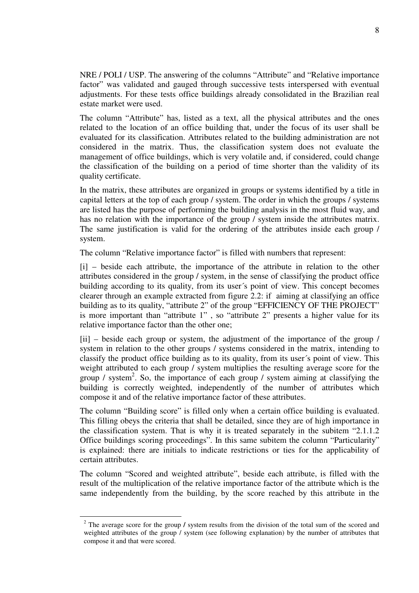NRE / POLI / USP. The answering of the columns "Attribute" and "Relative importance factor" was validated and gauged through successive tests interspersed with eventual adjustments. For these tests office buildings already consolidated in the Brazilian real estate market were used.

The column "Attribute" has, listed as a text, all the physical attributes and the ones related to the location of an office building that, under the focus of its user shall be evaluated for its classification. Attributes related to the building administration are not considered in the matrix. Thus, the classification system does not evaluate the management of office buildings, which is very volatile and, if considered, could change the classification of the building on a period of time shorter than the validity of its quality certificate.

In the matrix, these attributes are organized in groups or systems identified by a title in capital letters at the top of each group / system. The order in which the groups / systems are listed has the purpose of performing the building analysis in the most fluid way, and has no relation with the importance of the group / system inside the attributes matrix. The same justification is valid for the ordering of the attributes inside each group / system.

The column "Relative importance factor" is filled with numbers that represent:

[i] – beside each attribute, the importance of the attribute in relation to the other attributes considered in the group / system, in the sense of classifying the product office building according to its quality, from its user´s point of view. This concept becomes clearer through an example extracted from figure 2.2: if aiming at classifying an office building as to its quality, "attribute 2" of the group "EFFICIENCY OF THE PROJECT" is more important than "attribute 1" , so "attribute 2" presents a higher value for its relative importance factor than the other one;

[ii] – beside each group or system, the adjustment of the importance of the group / system in relation to the other groups / systems considered in the matrix, intending to classify the product office building as to its quality, from its user´s point of view. This weight attributed to each group / system multiplies the resulting average score for the group / system 2 . So, the importance of each group / system aiming at classifying the building is correctly weighted, independently of the number of attributes which compose it and of the relative importance factor of these attributes.

The column "Building score" is filled only when a certain office building is evaluated. This filling obeys the criteria that shall be detailed, since they are of high importance in the classification system. That is why it is treated separately in the subitem "2.1.1.2 Office buildings scoring proceedings". In this same subitem the column "Particularity" is explained: there are initials to indicate restrictions or ties for the applicability of certain attributes.

The column "Scored and weighted attribute", beside each attribute, is filled with the result of the multiplication of the relative importance factor of the attribute which is the same independently from the building, by the score reached by this attribute in the

<sup>&</sup>lt;sup>2</sup> The average score for the group */* system results from the division of the total sum of the scored and weighted attributes of the group / system (see following explanation) by the number of attributes that compose it and that were scored.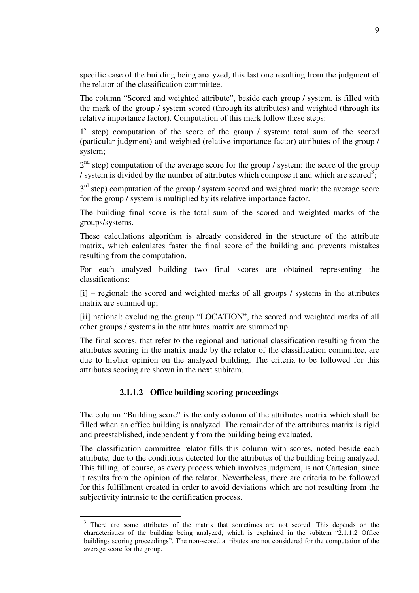specific case of the building being analyzed, this last one resulting from the judgment of the relator of the classification committee.

The column "Scored and weighted attribute", beside each group / system, is filled with the mark of the group / system scored (through its attributes) and weighted (through its relative importance factor). Computation of this mark follow these steps:

1<sup>st</sup> step) computation of the score of the group / system: total sum of the scored (particular judgment) and weighted (relative importance factor) attributes of the group / system;

 $2<sup>nd</sup>$  step) computation of the average score for the group / system: the score of the group / system is divided by the number of attributes which compose it and which are scored<sup>3</sup>;

 $3<sup>rd</sup>$  step) computation of the group / system scored and weighted mark: the average score for the group / system is multiplied by its relative importance factor.

The building final score is the total sum of the scored and weighted marks of the groups/systems.

These calculations algorithm is already considered in the structure of the attribute matrix, which calculates faster the final score of the building and prevents mistakes resulting from the computation.

For each analyzed building two final scores are obtained representing the classifications:

[i] – regional: the scored and weighted marks of all groups / systems in the attributes matrix are summed up;

[ii] national: excluding the group "LOCATION", the scored and weighted marks of all other groups / systems in the attributes matrix are summed up.

The final scores, that refer to the regional and national classification resulting from the attributes scoring in the matrix made by the relator of the classification committee, are due to his/her opinion on the analyzed building. The criteria to be followed for this attributes scoring are shown in the next subitem.

# **2.1.1.2 Office building scoring proceedings**

The column "Building score" is the only column of the attributes matrix which shall be filled when an office building is analyzed. The remainder of the attributes matrix is rigid and preestablished, independently from the building being evaluated.

The classification committee relator fills this column with scores, noted beside each attribute, due to the conditions detected for the attributes of the building being analyzed. This filling, of course, as every process which involves judgment, is not Cartesian, since it results from the opinion of the relator. Nevertheless, there are criteria to be followed for this fulfillment created in order to avoid deviations which are not resulting from the subjectivity intrinsic to the certification process.

<sup>&</sup>lt;sup>3</sup> There are some attributes of the matrix that sometimes are not scored. This depends on the characteristics of the building being analyzed, which is explained in the subitem "2.1.1.2 Office buildings scoring proceedings". The non-scored attributes are not considered for the computation of the average score for the group.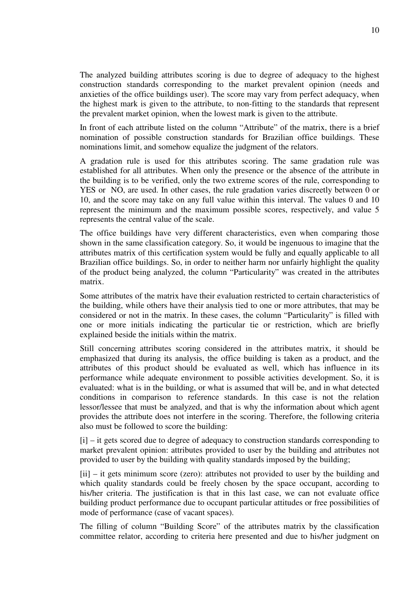The analyzed building attributes scoring is due to degree of adequacy to the highest construction standards corresponding to the market prevalent opinion (needs and anxieties of the office buildings user). The score may vary from perfect adequacy, when the highest mark is given to the attribute, to non-fitting to the standards that represent the prevalent market opinion, when the lowest mark is given to the attribute.

In front of each attribute listed on the column "Attribute" of the matrix, there is a brief nomination of possible construction standards for Brazilian office buildings. These nominations limit, and somehow equalize the judgment of the relators.

A gradation rule is used for this attributes scoring. The same gradation rule was established for all attributes. When only the presence or the absence of the attribute in the building is to be verified, only the two extreme scores of the rule, corresponding to YES or NO, are used. In other cases, the rule gradation varies discreetly between 0 or 10, and the score may take on any full value within this interval. The values 0 and 10 represent the minimum and the maximum possible scores, respectively, and value 5 represents the central value of the scale.

The office buildings have very different characteristics, even when comparing those shown in the same classification category. So, it would be ingenuous to imagine that the attributes matrix of this certification system would be fully and equally applicable to all Brazilian office buildings. So, in order to neither harm nor unfairly highlight the quality of the product being analyzed, the column "Particularity" was created in the attributes matrix.

Some attributes of the matrix have their evaluation restricted to certain characteristics of the building, while others have their analysis tied to one or more attributes, that may be considered or not in the matrix. In these cases, the column "Particularity" is filled with one or more initials indicating the particular tie or restriction, which are briefly explained beside the initials within the matrix.

Still concerning attributes scoring considered in the attributes matrix, it should be emphasized that during its analysis, the office building is taken as a product, and the attributes of this product should be evaluated as well, which has influence in its performance while adequate environment to possible activities development. So, it is evaluated: what is in the building, or what is assumed that will be, and in what detected conditions in comparison to reference standards. In this case is not the relation lessor/lessee that must be analyzed, and that is why the information about which agent provides the attribute does not interfere in the scoring. Therefore, the following criteria also must be followed to score the building:

[i] – it gets scored due to degree of adequacy to construction standards corresponding to market prevalent opinion: attributes provided to user by the building and attributes not provided to user by the building with quality standards imposed by the building;

[ii] – it gets minimum score (zero): attributes not provided to user by the building and which quality standards could be freely chosen by the space occupant, according to his/her criteria. The justification is that in this last case, we can not evaluate office building product performance due to occupant particular attitudes or free possibilities of mode of performance (case of vacant spaces).

The filling of column "Building Score" of the attributes matrix by the classification committee relator, according to criteria here presented and due to his/her judgment on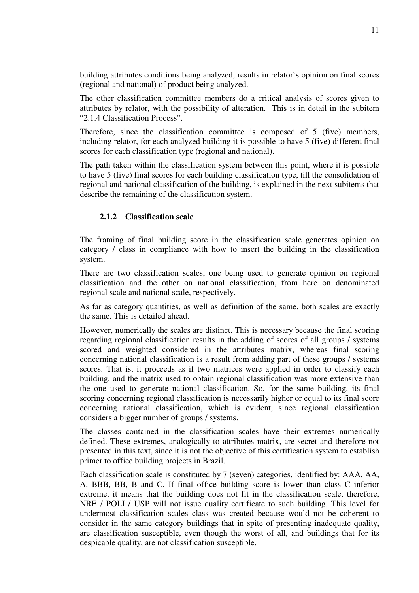building attributes conditions being analyzed, results in relator`s opinion on final scores (regional and national) of product being analyzed.

The other classification committee members do a critical analysis of scores given to attributes by relator, with the possibility of alteration. This is in detail in the subitem "2.1.4 Classification Process".

Therefore, since the classification committee is composed of 5 (five) members, including relator, for each analyzed building it is possible to have 5 (five) different final scores for each classification type (regional and national).

The path taken within the classification system between this point, where it is possible to have 5 (five) final scores for each building classification type, till the consolidation of regional and national classification of the building, is explained in the next subitems that describe the remaining of the classification system.

### **2.1.2 Classification scale**

The framing of final building score in the classification scale generates opinion on category / class in compliance with how to insert the building in the classification system.

There are two classification scales, one being used to generate opinion on regional classification and the other on national classification, from here on denominated regional scale and national scale, respectively.

As far as category quantities, as well as definition of the same, both scales are exactly the same. This is detailed ahead.

However, numerically the scales are distinct. This is necessary because the final scoring regarding regional classification results in the adding of scores of all groups / systems scored and weighted considered in the attributes matrix, whereas final scoring concerning national classification is a result from adding part of these groups / systems scores. That is, it proceeds as if two matrices were applied in order to classify each building, and the matrix used to obtain regional classification was more extensive than the one used to generate national classification. So, for the same building, its final scoring concerning regional classification is necessarily higher or equal to its final score concerning national classification, which is evident, since regional classification considers a bigger number of groups / systems.

The classes contained in the classification scales have their extremes numerically defined. These extremes, analogically to attributes matrix, are secret and therefore not presented in this text, since it is not the objective of this certification system to establish primer to office building projects in Brazil.

Each classification scale is constituted by 7 (seven) categories, identified by: AAA, AA, A, BBB, BB, B and C. If final office building score is lower than class C inferior extreme, it means that the building does not fit in the classification scale, therefore, NRE / POLI / USP will not issue quality certificate to such building. This level for undermost classification scales class was created because would not be coherent to consider in the same category buildings that in spite of presenting inadequate quality, are classification susceptible, even though the worst of all, and buildings that for its despicable quality, are not classification susceptible.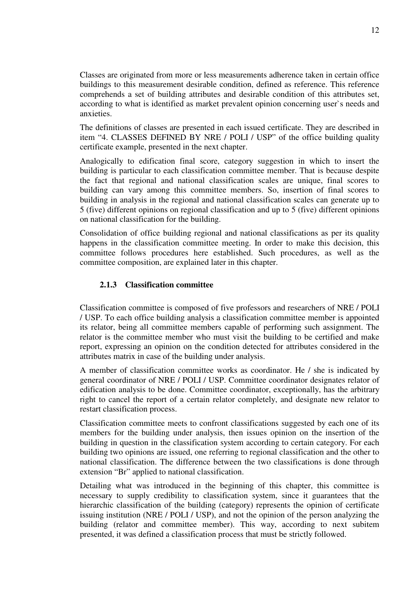Classes are originated from more or less measurements adherence taken in certain office buildings to this measurement desirable condition, defined as reference. This reference comprehends a set of building attributes and desirable condition of this attributes set, according to what is identified as market prevalent opinion concerning user`s needs and anxieties.

The definitions of classes are presented in each issued certificate. They are described in item "4. CLASSES DEFINED BY NRE / POLI / USP" of the office building quality certificate example, presented in the next chapter.

Analogically to edification final score, category suggestion in which to insert the building is particular to each classification committee member. That is because despite the fact that regional and national classification scales are unique, final scores to building can vary among this committee members. So, insertion of final scores to building in analysis in the regional and national classification scales can generate up to 5 (five) different opinions on regional classification and up to 5 (five) different opinions on national classification for the building.

Consolidation of office building regional and national classifications as per its quality happens in the classification committee meeting. In order to make this decision, this committee follows procedures here established. Such procedures, as well as the committee composition, are explained later in this chapter.

### **2.1.3 Classification committee**

Classification committee is composed of five professors and researchers of NRE / POLI / USP. To each office building analysis a classification committee member is appointed its relator, being all committee members capable of performing such assignment. The relator is the committee member who must visit the building to be certified and make report, expressing an opinion on the condition detected for attributes considered in the attributes matrix in case of the building under analysis.

A member of classification committee works as coordinator. He / she is indicated by general coordinator of NRE / POLI / USP. Committee coordinator designates relator of edification analysis to be done. Committee coordinator, exceptionally, has the arbitrary right to cancel the report of a certain relator completely, and designate new relator to restart classification process.

Classification committee meets to confront classifications suggested by each one of its members for the building under analysis, then issues opinion on the insertion of the building in question in the classification system according to certain category. For each building two opinions are issued, one referring to regional classification and the other to national classification. The difference between the two classifications is done through extension "Br" applied to national classification.

Detailing what was introduced in the beginning of this chapter, this committee is necessary to supply credibility to classification system, since it guarantees that the hierarchic classification of the building (category) represents the opinion of certificate issuing institution (NRE / POLI / USP), and not the opinion of the person analyzing the building (relator and committee member). This way, according to next subitem presented, it was defined a classification process that must be strictly followed.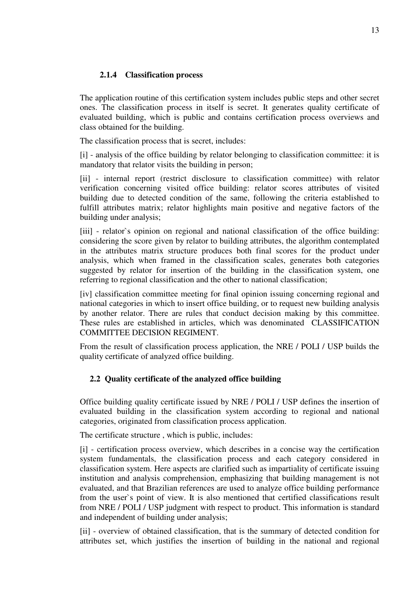# **2.1.4 Classification process**

The application routine of this certification system includes public steps and other secret ones. The classification process in itself is secret. It generates quality certificate of evaluated building, which is public and contains certification process overviews and class obtained for the building.

The classification process that is secret, includes:

[i] - analysis of the office building by relator belonging to classification committee: it is mandatory that relator visits the building in person;

[ii] - internal report (restrict disclosure to classification committee) with relator verification concerning visited office building: relator scores attributes of visited building due to detected condition of the same, following the criteria established to fulfill attributes matrix; relator highlights main positive and negative factors of the building under analysis;

[iii] - relator`s opinion on regional and national classification of the office building: considering the score given by relator to building attributes, the algorithm contemplated in the attributes matrix structure produces both final scores for the product under analysis, which when framed in the classification scales, generates both categories suggested by relator for insertion of the building in the classification system, one referring to regional classification and the other to national classification;

[iv] classification committee meeting for final opinion issuing concerning regional and national categories in which to insert office building, or to request new building analysis by another relator. There are rules that conduct decision making by this committee. These rules are established in articles, which was denominated CLASSIFICATION COMMITTEE DECISION REGIMENT.

From the result of classification process application, the NRE / POLI / USP builds the quality certificate of analyzed office building.

# **2.2 Quality certificate of the analyzed office building**

Office building quality certificate issued by NRE / POLI / USP defines the insertion of evaluated building in the classification system according to regional and national categories, originated from classification process application.

The certificate structure , which is public, includes:

[i] - certification process overview, which describes in a concise way the certification system fundamentals, the classification process and each category considered in classification system. Here aspects are clarified such as impartiality of certificate issuing institution and analysis comprehension, emphasizing that building management is not evaluated, and that Brazilian references are used to analyze office building performance from the user`s point of view. It is also mentioned that certified classifications result from NRE / POLI / USP judgment with respect to product. This information is standard and independent of building under analysis;

[ii] - overview of obtained classification, that is the summary of detected condition for attributes set, which justifies the insertion of building in the national and regional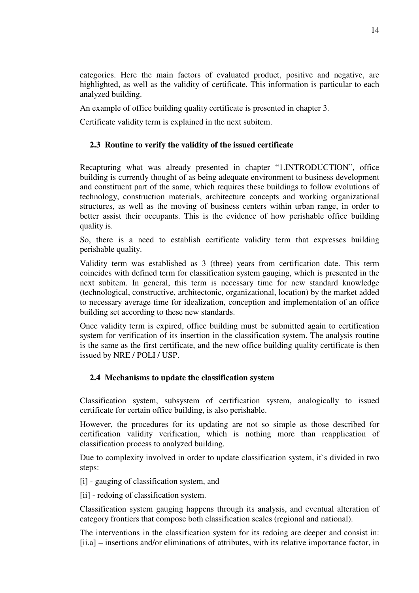categories. Here the main factors of evaluated product, positive and negative, are highlighted, as well as the validity of certificate. This information is particular to each analyzed building.

An example of office building quality certificate is presented in chapter 3.

Certificate validity term is explained in the next subitem.

# **2.3 Routine to verify the validity of the issued certificate**

Recapturing what was already presented in chapter "1.INTRODUCTION", office building is currently thought of as being adequate environment to business development and constituent part of the same, which requires these buildings to follow evolutions of technology, construction materials, architecture concepts and working organizational structures, as well as the moving of business centers within urban range, in order to better assist their occupants. This is the evidence of how perishable office building quality is.

So, there is a need to establish certificate validity term that expresses building perishable quality.

Validity term was established as 3 (three) years from certification date. This term coincides with defined term for classification system gauging, which is presented in the next subitem. In general, this term is necessary time for new standard knowledge (technological, constructive, architectonic, organizational, location) by the market added to necessary average time for idealization, conception and implementation of an office building set according to these new standards.

Once validity term is expired, office building must be submitted again to certification system for verification of its insertion in the classification system. The analysis routine is the same as the first certificate, and the new office building quality certificate is then issued by NRE / POLI / USP.

# **2.4 Mechanisms to update the classification system**

Classification system, subsystem of certification system, analogically to issued certificate for certain office building, is also perishable.

However, the procedures for its updating are not so simple as those described for certification validity verification, which is nothing more than reapplication of classification process to analyzed building.

Due to complexity involved in order to update classification system, it's divided in two steps:

[i] - gauging of classification system, and

[ii] - redoing of classification system.

Classification system gauging happens through its analysis, and eventual alteration of category frontiers that compose both classification scales (regional and national).

The interventions in the classification system for its redoing are deeper and consist in: [ii.a] – insertions and/or eliminations of attributes, with its relative importance factor, in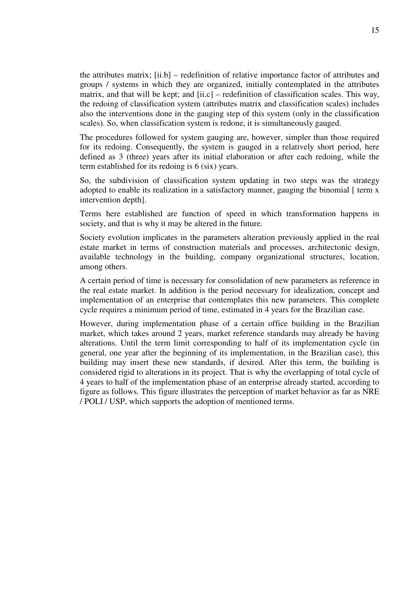the attributes matrix; [ii.b] – redefinition of relative importance factor of attributes and groups / systems in which they are organized, initially contemplated in the attributes matrix, and that will be kept; and [ii.c] – redefinition of classification scales. This way, the redoing of classification system (attributes matrix and classification scales) includes also the interventions done in the gauging step of this system (only in the classification scales). So, when classification system is redone, it is simultaneously gauged.

The procedures followed for system gauging are, however, simpler than those required for its redoing. Consequently, the system is gauged in a relatively short period, here defined as 3 (three) years after its initial elaboration or after each redoing, while the term established for its redoing is 6 (six) years.

So, the subdivision of classification system updating in two steps was the strategy adopted to enable its realization in a satisfactory manner, gauging the binomial  $\lceil$  term x intervention depth].

Terms here established are function of speed in which transformation happens in society, and that is why it may be altered in the future.

Society evolution implicates in the parameters alteration previously applied in the real estate market in terms of construction materials and processes, architectonic design, available technology in the building, company organizational structures, location, among others.

A certain period of time is necessary for consolidation of new parameters as reference in the real estate market. In addition is the period necessary for idealization, concept and implementation of an enterprise that contemplates this new parameters. This complete cycle requires a minimum period of time, estimated in 4 years for the Brazilian case.

However, during implementation phase of a certain office building in the Brazilian market, which takes around 2 years, market reference standards may already be having alterations. Until the term limit corresponding to half of its implementation cycle (in general, one year after the beginning of its implementation, in the Brazilian case), this building may insert these new standards, if desired. After this term, the building is considered rigid to alterations in its project. That is why the overlapping of total cycle of 4 years to half of the implementation phase of an enterprise already started, according to figure as follows. This figure illustrates the perception of market behavior as far as NRE / POLI / USP, which supports the adoption of mentioned terms.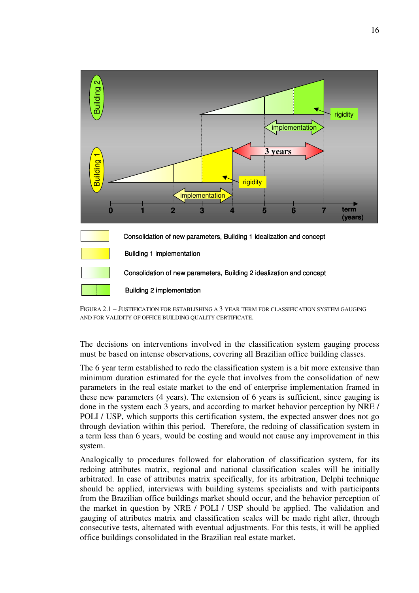

FIGURA 2.1 – JUSTIFICATION FOR ESTABLISHING A 3 YEAR TERM FOR CLASSIFICATION SYSTEM GAUGING AND FOR VALIDITY OF OFFICE BUILDING QUALITY CERTIFICATE.

The decisions on interventions involved in the classification system gauging process must be based on intense observations, covering all Brazilian office building classes.

The 6 year term established to redo the classification system is a bit more extensive than minimum duration estimated for the cycle that involves from the consolidation of new parameters in the real estate market to the end of enterprise implementation framed in these new parameters (4 years). The extension of 6 years is sufficient, since gauging is done in the system each 3 years, and according to market behavior perception by NRE / POLI / USP, which supports this certification system, the expected answer does not go through deviation within this period. Therefore, the redoing of classification system in a term less than 6 years, would be costing and would not cause any improvement in this system.

Analogically to procedures followed for elaboration of classification system, for its redoing attributes matrix, regional and national classification scales will be initially arbitrated. In case of attributes matrix specifically, for its arbitration, Delphi technique should be applied, interviews with building systems specialists and with participants from the Brazilian office buildings market should occur, and the behavior perception of the market in question by NRE / POLI / USP should be applied. The validation and gauging of attributes matrix and classification scales will be made right after, through consecutive tests, alternated with eventual adjustments. For this tests, it will be applied office buildings consolidated in the Brazilian real estate market.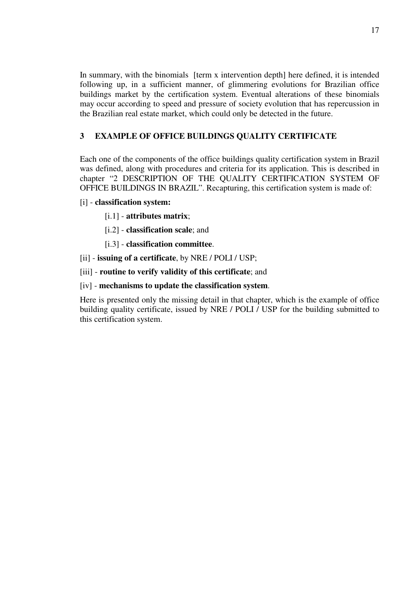In summary, with the binomials [term x intervention depth] here defined, it is intended following up, in a sufficient manner, of glimmering evolutions for Brazilian office buildings market by the certification system. Eventual alterations of these binomials may occur according to speed and pressure of society evolution that has repercussion in the Brazilian real estate market, which could only be detected in the future.

# **3 EXAMPLE OF OFFICE BUILDINGS QUALITY CERTIFICATE**

Each one of the components of the office buildings quality certification system in Brazil was defined, along with procedures and criteria for its application. This is described in chapter "2 DESCRIPTION OF THE QUALITY CERTIFICATION SYSTEM OF OFFICE BUILDINGS IN BRAZIL". Recapturing, this certification system is made of:

### [i] - **classification system:**

- [i.1] **attributes matrix**;
- [i.2] **classification scale**; and
- [i.3] **classification committee**.

[ii] - **issuing of a certificate**, by NRE / POLI / USP;

[iii] - **routine to verify validity of this certificate**; and

[iv] - **mechanisms to update the classification system**.

Here is presented only the missing detail in that chapter, which is the example of office building quality certificate, issued by NRE / POLI / USP for the building submitted to this certification system.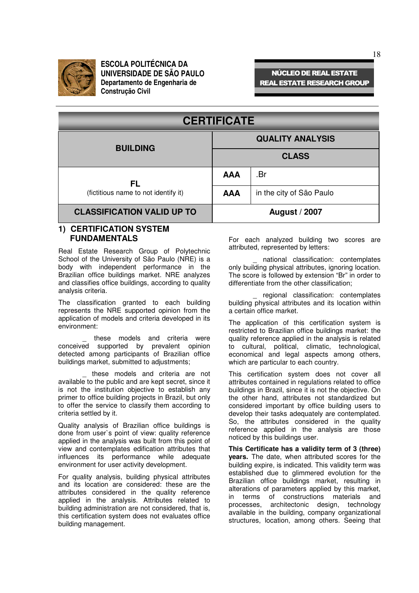

# **NÚCLEO DE REAL ESTATE REAL ESTATE RESEARCH GROUP**

| <b>CERTIFICATE</b>                   |                         |                          |  |  |
|--------------------------------------|-------------------------|--------------------------|--|--|
| <b>BUILDING</b>                      | <b>QUALITY ANALYSIS</b> |                          |  |  |
|                                      | <b>CLASS</b>            |                          |  |  |
| FL                                   | <b>AAA</b>              | .Br                      |  |  |
| (fictitious name to not identify it) | <b>AAA</b>              | in the city of São Paulo |  |  |
| <b>CLASSIFICATION VALID UP TO</b>    | <b>August / 2007</b>    |                          |  |  |
| AU AVATE                             |                         |                          |  |  |

#### **1) CERTIFICATION SYSTEM FUNDAMENTALS**

Real Estate Research Group of Polytechnic School of the University of São Paulo (NRE) is a body with independent performance in the Brazilian office buildings market. NRE analyzes and classifies office buildings, according to quality analysis criteria.

The classification granted to each building represents the NRE supported opinion from the application of models and criteria developed in its environment:

these models and criteria were conceived supported by prevalent opinion detected among participants of Brazilian office buildings market, submitted to adjustments;

these models and criteria are not available to the public and are kept secret, since it is not the institution objective to establish any primer to office building projects in Brazil, but only to offer the service to classify them according to criteria settled by it.

Quality analysis of Brazilian office buildings is done from user`s point of view: quality reference applied in the analysis was built from this point of view and contemplates edification attributes that influences its performance while adequate environment for user activity development.

For quality analysis, building physical attributes and its location are considered: these are the attributes considered in the quality reference applied in the analysis. Attributes related to building administration are not considered, that is, this certification system does not evaluates office building management.

For each analyzed building two scores are attributed, represented by letters:

national classification: contemplates only building physical attributes, ignoring location. The score is followed by extension "Br" in order to differentiate from the other classification;

regional classification: contemplates building physical attributes and its location within a certain office market.

The application of this certification system is restricted to Brazilian office buildings market: the quality reference applied in the analysis is related to cultural, political, climatic, technological, economical and legal aspects among others, which are particular to each country.

This certification system does not cover all attributes contained in regulations related to office buildings in Brazil, since it is not the objective. On the other hand, attributes not standardized but considered important by office building users to develop their tasks adequately are contemplated. So, the attributes considered in the quality reference applied in the analysis are those noticed by this buildings user.

**This Certificate has a validity term of 3 (three) years.** The date, when attributed scores for the building expire, is indicated. This validity term was established due to glimmered evolution for the Brazilian office buildings market, resulting in alterations of parameters applied by this market, in terms of constructions materials and processes, architectonic design, technology available in the building, company organizational structures, location, among others. Seeing that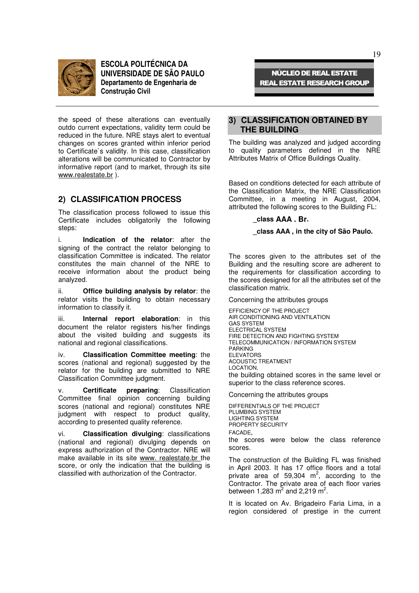

the speed of these alterations can eventually outdo current expectations, validity term could be reduced in the future. NRE stays alert to eventual changes on scores granted within inferior period to Certificate`s validity. In this case, classification alterations will be communicated to Contractor by informative report (and to market, through its site www.realestate.br ).

#### **2) CLASSIFICATION PROCESS**

The classification process followed to issue this Certificate includes obligatorily the following steps:

i. **Indication of the relator**: after the signing of the contract the relator belonging to classification Committee is indicated. The relator constitutes the main channel of the NRE to receive information about the product being analyzed.

ii. **Office building analysis by relator**: the relator visits the building to obtain necessary information to classify it.

iii. **Internal report elaboration**: in this document the relator registers his/her findings about the visited building and suggests its national and regional classifications.

iv. **Classification Committee meeting**: the scores (national and regional) suggested by the relator for the building are submitted to NRE Classification Committee judgment.

v. **Certificate preparing**: Classification Committee final opinion concerning building scores (national and regional) constitutes NRE judgment with respect to product quality, according to presented quality reference.

vi. **Classification divulging**: classifications (national and regional) divulging depends on express authorization of the Contractor. NRE will make available in its site www. realestate.br the score, or only the indication that the building is classified with authorization of the Contractor.

**NÚCLEO DE REAL ESTATE REAL ESTATE RESEARCH GROUP** 

#### **3) CLASSIFICATION OBTAINED BY THE BUILDING**

The building was analyzed and judged according to quality parameters defined in the NRE Attributes Matrix of Office Buildings Quality.

Based on conditions detected for each attribute of the Classification Matrix, the NRE Classification Committee, in a meeting in August, 2004, attributed the following scores to the Building FL:

#### **\_class AAA . Br.**

#### **\_class AAA , in the city of São Paulo.**

The scores given to the attributes set of the Building and the resulting score are adherent to the requirements for classification according to the scores designed for all the attributes set of the classification matrix.

Concerning the attributes groups

EFFICIENCY OF THE PROJECT AIR CONDITIONING AND VENTILATION GAS SYSTEM ELECTRICAL SYSTEM FIRE DETECTION AND FIGHTING SYSTEM TELECOMMUNICATION / INFORMATION SYSTEM PARKING ELEVATORS ACOUSTIC TREATMENT LOCATION, the building obtained scores in the same level or superior to the class reference scores.

Concerning the attributes groups

DIFFERENTIALS OF THE PROJECT PLUMBING SYSTEM LIGHTING SYSTEM PROPERTY SECURITY FACADE, the scores were below the class reference scores.

The construction of the Building FL was finished in April 2003. It has 17 office floors and a total private area of 59,304  $m^2$ , according to the Contractor. The private area of each floor varies between 1,283  $m^2$  and 2,219  $m^2$ .

It is located on Av. Brigadeiro Faria Lima, in a region considered of prestige in the current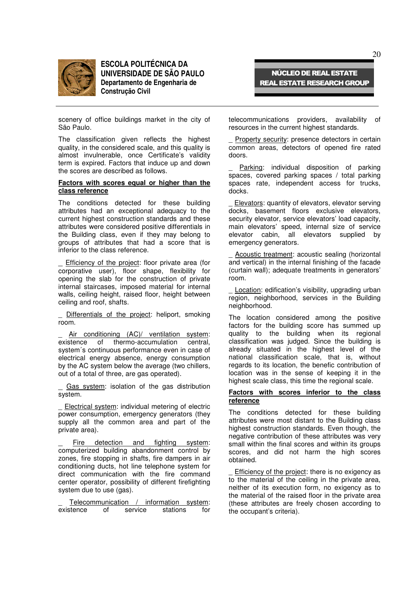

scenery of office buildings market in the city of São Paulo.

The classification given reflects the highest quality, in the considered scale, and this quality is almost invulnerable, once Certificate's validity term is expired. Factors that induce up and down the scores are described as follows.

#### **Factors with scores equal or higher than the class reference**

The conditions detected for these building attributes had an exceptional adequacy to the current highest construction standards and these attributes were considered positive differentials in the Building class, even if they may belong to groups of attributes that had a score that is inferior to the class reference.

Efficiency of the project: floor private area (for corporative user), floor shape, flexibility for opening the slab for the construction of private internal staircases, imposed material for internal walls, ceiling height, raised floor, height between ceiling and roof, shafts.

Differentials of the project: heliport, smoking room.

Air conditioning (AC)/ ventilation system: existence of thermo-accumulation central, system´s continuous performance even in case of electrical energy absence, energy consumption by the AC system below the average (two chillers, out of a total of three, are gas operated).

Gas system: isolation of the gas distribution system.

Electrical system: individual metering of electric power consumption, emergency generators (they supply all the common area and part of the private area).

\_ Fire detection and fighting system: computerized building abandonment control by zones, fire stopping in shafts, fire dampers in air conditioning ducts, hot line telephone system for direct communication with the fire command center operator, possibility of different firefighting system due to use (gas).

Telecommunication / information system: existence of service stations for

telecommunications providers, availability of resources in the current highest standards.

**NÚCLEO DE REAL ESTATE REAL ESTATE RESEARCH GROUP** 

Property security: presence detectors in certain common areas, detectors of opened fire rated doors.

Parking: individual disposition of parking spaces, covered parking spaces / total parking spaces rate, independent access for trucks, docks.

Elevators: quantity of elevators, elevator serving docks, basement floors exclusive elevators, security elevator, service elevators' load capacity, main elevators' speed, internal size of service elevator cabin, all elevators supplied by emergency generators.

Acoustic treatment: acoustic sealing (horizontal and vertical) in the internal finishing of the facade (curtain wall); adequate treatments in generators' room.

Location: edification's visibility, upgrading urban region, neighborhood, services in the Building neighborhood.

The location considered among the positive factors for the building score has summed up quality to the building when its regional classification was judged. Since the building is already situated in the highest level of the national classification scale, that is, without regards to its location, the benefic contribution of location was in the sense of keeping it in the highest scale class, this time the regional scale.

#### **Factors with scores inferior to the class reference**

The conditions detected for these building attributes were most distant to the Building class highest construction standards. Even though, the negative contribution of these attributes was very small within the final scores and within its groups scores, and did not harm the high scores obtained.

Efficiency of the project: there is no exigency as to the material of the ceiling in the private area, neither of its execution form, no exigency as to the material of the raised floor in the private area (these attributes are freely chosen according to the occupant's criteria).

 $20$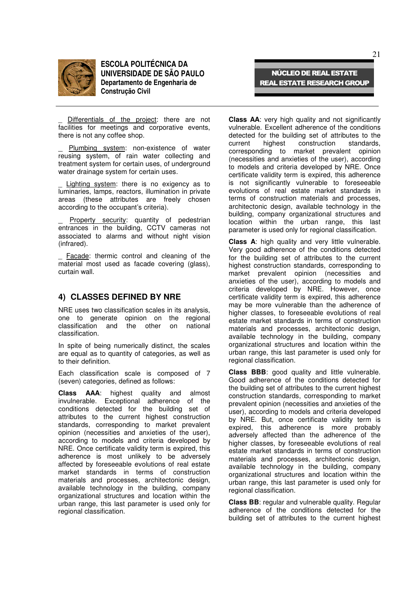

Differentials of the project: there are not facilities for meetings and corporative events, there is not any coffee shop.

Plumbing system: non-existence of water reusing system, of rain water collecting and treatment system for certain uses, of underground water drainage system for certain uses.

Lighting system: there is no exigency as to luminaries, lamps, reactors, illumination in private areas (these attributes are freely chosen according to the occupant's criteria).

Property security: quantity of pedestrian entrances in the building, CCTV cameras not associated to alarms and without night vision (infrared).

Facade: thermic control and cleaning of the material most used as facade covering (glass), curtain wall.

#### **4) CLASSES DEFINED BY NRE**

NRE uses two classification scales in its analysis, one to generate opinion on the regional classification and the other on national classification.

In spite of being numerically distinct, the scales are equal as to quantity of categories, as well as to their definition.

Each classification scale is composed of 7 (seven) categories, defined as follows:

**Class AAA**: highest quality and almost invulnerable. Exceptional adherence of the conditions detected for the building set of attributes to the current highest construction standards, corresponding to market prevalent opinion (necessities and anxieties of the user), according to models and criteria developed by NRE. Once certificate validity term is expired, this adherence is most unlikely to be adversely affected by foreseeable evolutions of real estate market standards in terms of construction materials and processes, architectonic design, available technology in the building, company organizational structures and location within the urban range, this last parameter is used only for regional classification.

**Class AA**: very high quality and not significantly vulnerable. Excellent adherence of the conditions detected for the building set of attributes to the current highest construction standards. construction corresponding to market prevalent opinion (necessities and anxieties of the user), according to models and criteria developed by NRE. Once certificate validity term is expired, this adherence is not significantly vulnerable to foreseeable evolutions of real estate market standards in terms of construction materials and processes, architectonic design, available technology in the building, company organizational structures and location within the urban range, this last

parameter is used only for regional classification.

**NÚCLEO DE REAL ESTATE REAL ESTATE RESEARCH GROUP** 

**Class A**: high quality and very little vulnerable. Very good adherence of the conditions detected for the building set of attributes to the current highest construction standards, corresponding to market prevalent opinion (necessities and anxieties of the user), according to models and criteria developed by NRE. However, once certificate validity term is expired, this adherence may be more vulnerable than the adherence of higher classes, to foreseeable evolutions of real estate market standards in terms of construction materials and processes, architectonic design, available technology in the building, company organizational structures and location within the urban range, this last parameter is used only for regional classification.

**Class BBB**: good quality and little vulnerable. Good adherence of the conditions detected for the building set of attributes to the current highest construction standards, corresponding to market prevalent opinion (necessities and anxieties of the user), according to models and criteria developed by NRE. But, once certificate validity term is expired, this adherence is more probably adversely affected than the adherence of the higher classes, by foreseeable evolutions of real estate market standards in terms of construction materials and processes, architectonic design, available technology in the building, company organizational structures and location within the urban range, this last parameter is used only for regional classification.

**Class BB**: regular and vulnerable quality. Regular adherence of the conditions detected for the building set of attributes to the current highest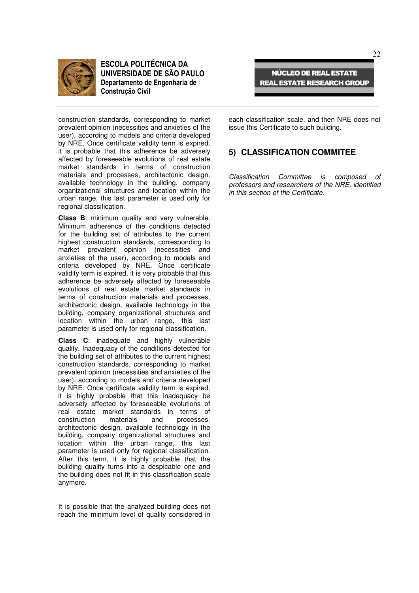

**NÚCLEO DE REAL ESTATE REAL ESTATE RESEARCH GROUP** 

construction standards, corresponding to market prevalent opinion (necessities and anxieties of the user), according to models and criteria developed by NRE. Once certificate validity term is expired, it is probable that this adherence be adversely affected by foreseeable evolutions of real estate market standards in terms of construction materials and processes, architectonic design, available technology in the building, company organizational structures and location within the urban range, this last parameter is used only for regional classification.

**Class B**: minimum quality and very vulnerable. Minimum adherence of the conditions detected for the building set of attributes to the current highest construction standards, corresponding to market prevalent opinion (necessities and anxieties of the user), according to models and criteria developed by NRE. Once certificate validity term is expired, it is very probable that this adherence be adversely affected by foreseeable evolutions of real estate market standards in terms of construction materials and processes, architectonic design, available technology in the building, company organizational structures and location within the urban range, this last parameter is used only for regional classification.

**Class C**: inadequate and highly vulnerable quality. Inadequacy of the conditions detected for the building set of attributes to the current highest construction standards, corresponding to market prevalent opinion (necessities and anxieties of the user), according to models and criteria developed by NRE. Once certificate validity term is expired, it is highly probable that this inadequacy be adversely affected by foreseeable evolutions of real estate market standards in terms of<br>construction materials and processes. construction architectonic design, available technology in the building, company organizational structures and location within the urban range, this last parameter is used only for regional classification. After this term, it is highly probable that the building quality turns into a despicable one and the building does not fit in this classification scale anymore.

It is possible that the analyzed building does not reach the minimum level of quality considered in

each classification scale, and then NRE does not issue this Certificate to such building.

### **5) CLASSIFICATION COMMITEE**

*Classification Committee is composed of professors and researchers of the NRE, identified in this section of the Certificate.*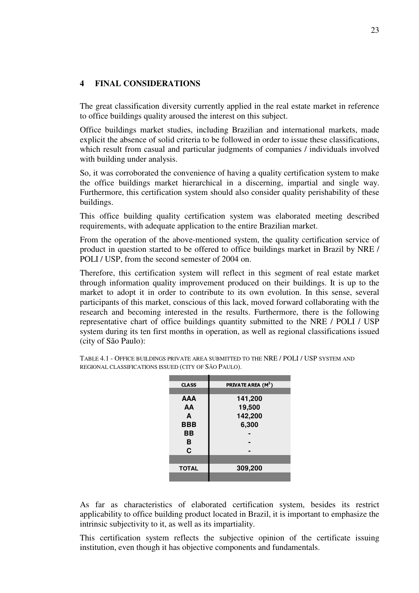# **4 FINAL CONSIDERATIONS**

The great classification diversity currently applied in the real estate market in reference to office buildings quality aroused the interest on this subject.

Office buildings market studies, including Brazilian and international markets, made explicit the absence of solid criteria to be followed in order to issue these classifications, which result from casual and particular judgments of companies / individuals involved with building under analysis.

So, it was corroborated the convenience of having a quality certification system to make the office buildings market hierarchical in a discerning, impartial and single way. Furthermore, this certification system should also consider quality perishability of these buildings.

This office building quality certification system was elaborated meeting described requirements, with adequate application to the entire Brazilian market.

From the operation of the above-mentioned system, the quality certification service of product in question started to be offered to office buildings market in Brazil by NRE / POLI / USP, from the second semester of 2004 on.

Therefore, this certification system will reflect in this segment of real estate market through information quality improvement produced on their buildings. It is up to the market to adopt it in order to contribute to its own evolution. In this sense, several participants of this market, conscious of this lack, moved forward collaborating with the research and becoming interested in the results. Furthermore, there is the following representative chart of office buildings quantity submitted to the NRE / POLI / USP system during its ten first months in operation, as well as regional classifications issued (city of São Paulo):

| <b>CLASS</b> | PRIVATE AREA (M <sup>2</sup> ) |
|--------------|--------------------------------|
|              |                                |
| AAA          | 141,200                        |
| AA           | 19,500                         |
| A            | 142,200                        |
| <b>BBB</b>   | 6,300                          |
| ВB           |                                |
| в            |                                |
| C            |                                |
|              |                                |
| <b>TOTAL</b> | 309,200                        |
|              |                                |

TABLE 4.1 - OFFICE BUILDINGS PRIVATE AREA SUBMITTED TO THE NRE / POLI / USP SYSTEM AND REGIONAL CLASSIFICATIONS ISSUED (CITY OF SÃO PAULO).

As far as characteristics of elaborated certification system, besides its restrict applicability to office building product located in Brazil, it is important to emphasize the intrinsic subjectivity to it, as well as its impartiality.

This certification system reflects the subjective opinion of the certificate issuing institution, even though it has objective components and fundamentals.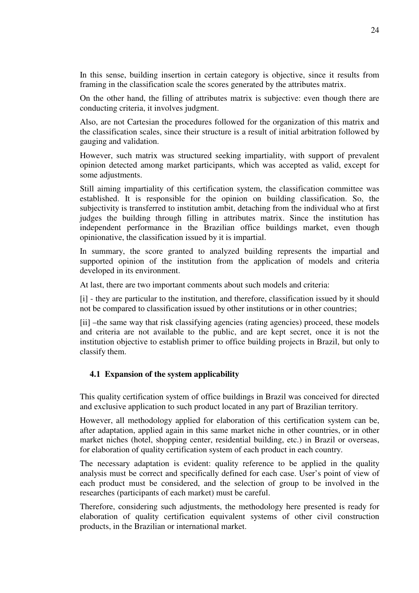In this sense, building insertion in certain category is objective, since it results from framing in the classification scale the scores generated by the attributes matrix.

On the other hand, the filling of attributes matrix is subjective: even though there are conducting criteria, it involves judgment.

Also, are not Cartesian the procedures followed for the organization of this matrix and the classification scales, since their structure is a result of initial arbitration followed by gauging and validation.

However, such matrix was structured seeking impartiality, with support of prevalent opinion detected among market participants, which was accepted as valid, except for some adjustments.

Still aiming impartiality of this certification system, the classification committee was established. It is responsible for the opinion on building classification. So, the subjectivity is transferred to institution ambit, detaching from the individual who at first judges the building through filling in attributes matrix. Since the institution has independent performance in the Brazilian office buildings market, even though opinionative, the classification issued by it is impartial.

In summary, the score granted to analyzed building represents the impartial and supported opinion of the institution from the application of models and criteria developed in its environment.

At last, there are two important comments about such models and criteria:

[i] - they are particular to the institution, and therefore, classification issued by it should not be compared to classification issued by other institutions or in other countries;

[ii] –the same way that risk classifying agencies (rating agencies) proceed, these models and criteria are not available to the public, and are kept secret, once it is not the institution objective to establish primer to office building projects in Brazil, but only to classify them.

# **4.1 Expansion of the system applicability**

This quality certification system of office buildings in Brazil was conceived for directed and exclusive application to such product located in any part of Brazilian territory.

However, all methodology applied for elaboration of this certification system can be, after adaptation, applied again in this same market niche in other countries, or in other market niches (hotel, shopping center, residential building, etc.) in Brazil or overseas, for elaboration of quality certification system of each product in each country.

The necessary adaptation is evident: quality reference to be applied in the quality analysis must be correct and specifically defined for each case. User's point of view of each product must be considered, and the selection of group to be involved in the researches (participants of each market) must be careful.

Therefore, considering such adjustments, the methodology here presented is ready for elaboration of quality certification equivalent systems of other civil construction products, in the Brazilian or international market.